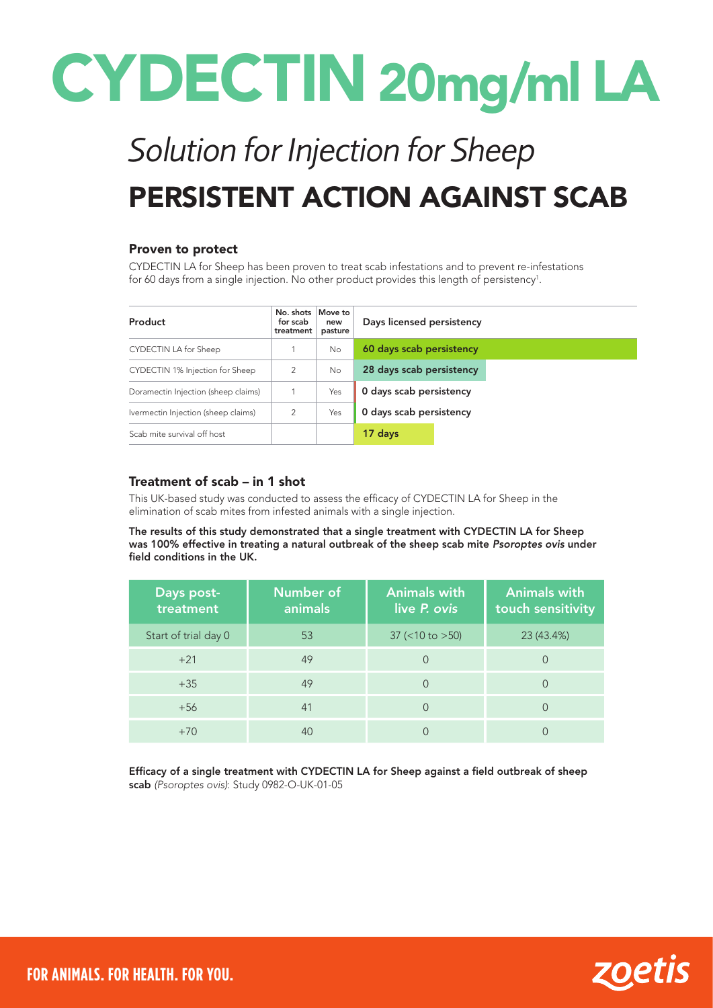# CYDECTIN 20mg/ml LA

## *Solution for Injection for Sheep* PERSISTENT ACTION AGAINST SCAB

#### Proven to protect

CYDECTIN LA for Sheep has been proven to treat scab infestations and to prevent re-infestations for 60 days from a single injection. No other product provides this length of persistency $^{\rm 1}$ .

| Product                             | No. shots<br>for scab<br>treatment | Move to<br>new<br>pasture | Days licensed persistency |  |
|-------------------------------------|------------------------------------|---------------------------|---------------------------|--|
| CYDECTIN LA for Sheep               |                                    | No.                       | 60 days scab persistency  |  |
| CYDECTIN 1% Injection for Sheep     | $\mathcal{P}$                      | <b>No</b>                 | 28 days scab persistency  |  |
| Doramectin Injection (sheep claims) |                                    | Yes                       | 0 days scab persistency   |  |
| Ivermectin Injection (sheep claims) | 2                                  | Yes                       | 0 days scab persistency   |  |
| Scab mite survival off host         |                                    |                           | 17 days                   |  |

#### Treatment of scab – in 1 shot

This UK-based study was conducted to assess the efficacy of CYDECTIN LA for Sheep in the elimination of scab mites from infested animals with a single injection.

The results of this study demonstrated that a single treatment with CYDECTIN LA for Sheep was 100% effective in treating a natural outbreak of the sheep scab mite *Psoroptes ovis* under field conditions in the UK.

| Days post-<br>treatment | <b>Number of</b><br>animals | <b>Animals with</b><br>live P. ovis | <b>Animals with</b><br>touch sensitivity |
|-------------------------|-----------------------------|-------------------------------------|------------------------------------------|
| Start of trial day 0    | 53                          | $37$ (<10 to >50)                   | 23 (43.4%)                               |
| $+21$                   | 49                          | 0                                   |                                          |
| $+35$                   | 49                          | $\Omega$                            |                                          |
| $+56$                   | 41                          | $\Omega$                            |                                          |
| $+70$                   | 40                          |                                     |                                          |

Efficacy of a single treatment with CYDECTIN LA for Sheep against a field outbreak of sheep scab *(Psoroptes ovis)*: Study 0982-O-UK-01-05